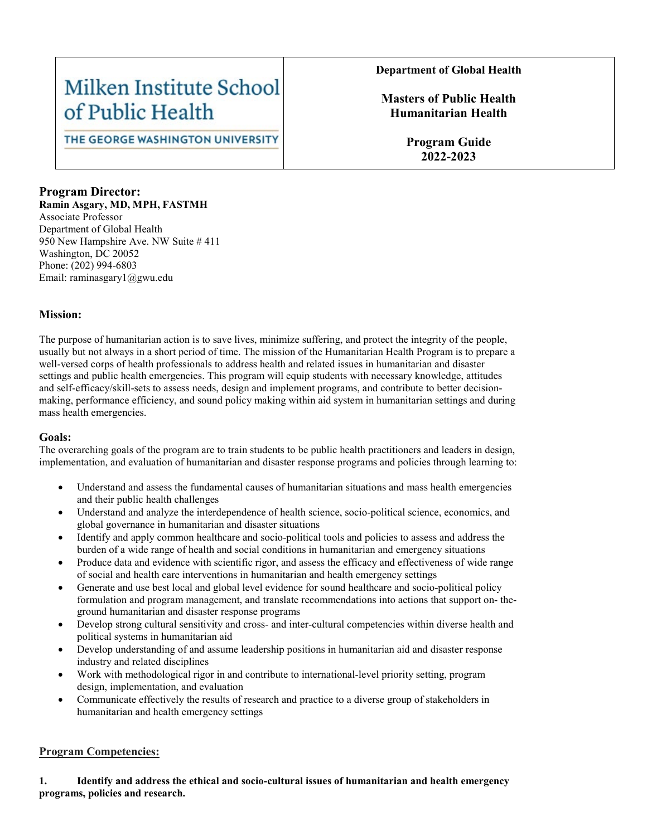## Milken Institute School of Public Health

THE GEORGE WASHINGTON UNIVERSITY

#### **Department of Global Health**

**Masters of Public Health Humanitarian Health**

> **Program Guide 2022-2023**

## **Program Director:**

**Ramin Asgary, MD, MPH, FASTMH** Associate Professor Department of Global Health 950 New Hampshire Ave. NW Suite # 411 Washington, DC 20052 Phone: (202) 994-6803 Email: raminasgary1@gwu.edu

#### **Mission:**

The purpose of humanitarian action is to save lives, minimize suffering, and protect the integrity of the people, usually but not always in a short period of time. The mission of the Humanitarian Health Program is to prepare a well-versed corps of health professionals to address health and related issues in humanitarian and disaster settings and public health emergencies. This program will equip students with necessary knowledge, attitudes and self-efficacy/skill-sets to assess needs, design and implement programs, and contribute to better decisionmaking, performance efficiency, and sound policy making within aid system in humanitarian settings and during mass health emergencies.

#### **Goals:**

The overarching goals of the program are to train students to be public health practitioners and leaders in design, implementation, and evaluation of humanitarian and disaster response programs and policies through learning to:

- Understand and assess the fundamental causes of humanitarian situations and mass health emergencies and their public health challenges
- Understand and analyze the interdependence of health science, socio-political science, economics, and global governance in humanitarian and disaster situations
- Identify and apply common healthcare and socio-political tools and policies to assess and address the burden of a wide range of health and social conditions in humanitarian and emergency situations
- Produce data and evidence with scientific rigor, and assess the efficacy and effectiveness of wide range of social and health care interventions in humanitarian and health emergency settings
- Generate and use best local and global level evidence for sound healthcare and socio-political policy formulation and program management, and translate recommendations into actions that support on- theground humanitarian and disaster response programs
- Develop strong cultural sensitivity and cross- and inter-cultural competencies within diverse health and political systems in humanitarian aid
- Develop understanding of and assume leadership positions in humanitarian aid and disaster response industry and related disciplines
- Work with methodological rigor in and contribute to international-level priority setting, program design, implementation, and evaluation
- Communicate effectively the results of research and practice to a diverse group of stakeholders in humanitarian and health emergency settings

#### **Program Competencies:**

**1. Identify and address the ethical and socio-cultural issues of humanitarian and health emergency programs, policies and research.**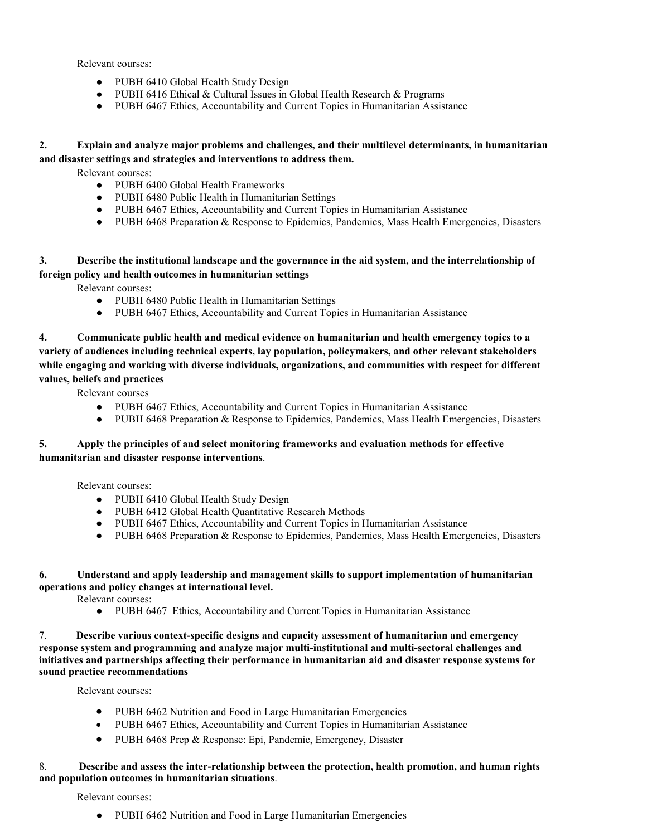Relevant courses:

- PUBH 6410 Global Health Study Design
- PUBH 6416 Ethical & Cultural Issues in Global Health Research & Programs
- PUBH 6467 Ethics, Accountability and Current Topics in Humanitarian Assistance

#### **2. Explain and analyze major problems and challenges, and their multilevel determinants, in humanitarian and disaster settings and strategies and interventions to address them.**

Relevant courses:

- PUBH 6400 Global Health Frameworks
- PUBH 6480 Public Health in Humanitarian Settings
- PUBH 6467 Ethics, Accountability and Current Topics in Humanitarian Assistance
- PUBH 6468 Preparation & Response to Epidemics, Pandemics, Mass Health Emergencies, Disasters

#### **3. Describe the institutional landscape and the governance in the aid system, and the interrelationship of foreign policy and health outcomes in humanitarian settings**

Relevant courses:

- PUBH 6480 Public Health in Humanitarian Settings
- PUBH 6467 Ethics, Accountability and Current Topics in Humanitarian Assistance

**4. Communicate public health and medical evidence on humanitarian and health emergency topics to a variety of audiences including technical experts, lay population, policymakers, and other relevant stakeholders while engaging and working with diverse individuals, organizations, and communities with respect for different values, beliefs and practices** 

Relevant courses

- PUBH 6467 Ethics, Accountability and Current Topics in Humanitarian Assistance
- PUBH 6468 Preparation & Response to Epidemics, Pandemics, Mass Health Emergencies, Disasters

#### **5. Apply the principles of and select monitoring frameworks and evaluation methods for effective humanitarian and disaster response interventions**.

Relevant courses:

- PUBH 6410 Global Health Study Design
- PUBH 6412 Global Health Quantitative Research Methods
- PUBH 6467 Ethics, Accountability and Current Topics in Humanitarian Assistance
- PUBH 6468 Preparation & Response to Epidemics, Pandemics, Mass Health Emergencies, Disasters

#### **6. Understand and apply leadership and management skills to support implementation of humanitarian operations and policy changes at international level.**

Relevant courses:

● PUBH 6467 Ethics, Accountability and Current Topics in Humanitarian Assistance

#### 7. **Describe various context-specific designs and capacity assessment of humanitarian and emergency response system and programming and analyze major multi-institutional and multi-sectoral challenges and initiatives and partnerships affecting their performance in humanitarian aid and disaster response systems for sound practice recommendations**

Relevant courses:

- PUBH 6462 Nutrition and Food in Large Humanitarian Emergencies
- PUBH 6467 Ethics, Accountability and Current Topics in Humanitarian Assistance
- PUBH 6468 Prep & Response: Epi, Pandemic, Emergency, Disaster

#### 8. **Describe and assess the inter-relationship between the protection, health promotion, and human rights and population outcomes in humanitarian situations**.

Relevant courses:

● PUBH 6462 Nutrition and Food in Large Humanitarian Emergencies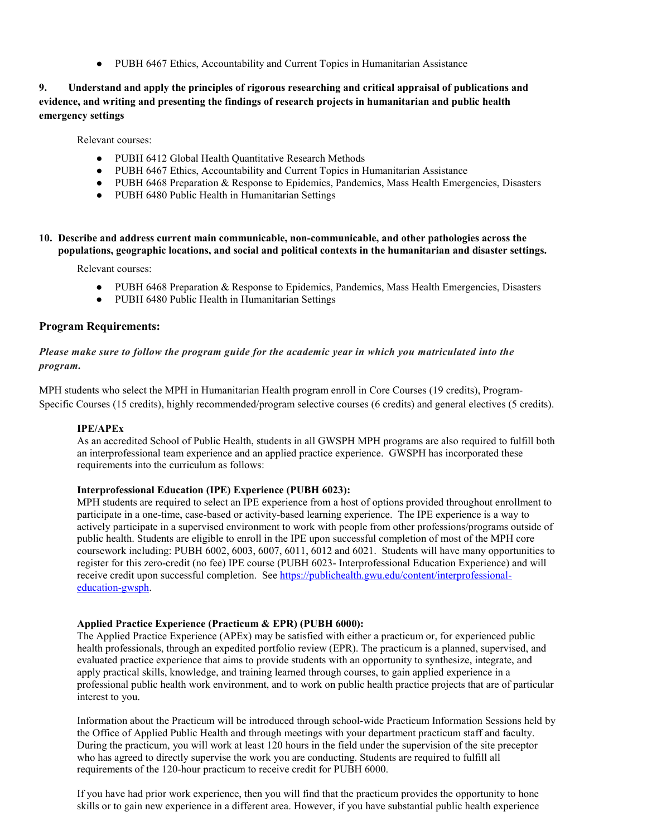● PUBH 6467 Ethics, Accountability and Current Topics in Humanitarian Assistance

#### **9. Understand and apply the principles of rigorous researching and critical appraisal of publications and evidence, and writing and presenting the findings of research projects in humanitarian and public health emergency settings**

Relevant courses:

- PUBH 6412 Global Health Quantitative Research Methods
- PUBH 6467 Ethics, Accountability and Current Topics in Humanitarian Assistance
- PUBH 6468 Preparation & Response to Epidemics, Pandemics, Mass Health Emergencies, Disasters
- PUBH 6480 Public Health in Humanitarian Settings

**10. Describe and address current main communicable, non-communicable, and other pathologies across the populations, geographic locations, and social and political contexts in the humanitarian and disaster settings.**

Relevant courses:

- PUBH 6468 Preparation & Response to Epidemics, Pandemics, Mass Health Emergencies, Disasters
- PUBH 6480 Public Health in Humanitarian Settings

#### **Program Requirements:**

*Please make sure to follow the program guide for the academic year in which you matriculated into the program.*

MPH students who select the MPH in Humanitarian Health program enroll in Core Courses (19 credits), Program-Specific Courses (15 credits), highly recommended/program selective courses (6 credits) and general electives (5 credits).

#### **IPE/APEx**

As an accredited School of Public Health, students in all GWSPH MPH programs are also required to fulfill both an interprofessional team experience and an applied practice experience. GWSPH has incorporated these requirements into the curriculum as follows:

#### **Interprofessional Education (IPE) Experience (PUBH 6023):**

MPH students are required to select an IPE experience from a host of options provided throughout enrollment to participate in a one-time, case-based or activity-based learning experience. The IPE experience is a way to actively participate in a supervised environment to work with people from other professions/programs outside of public health. Students are eligible to enroll in the IPE upon successful completion of most of the MPH core coursework including: PUBH 6002, 6003, 6007, 6011, 6012 and 6021. Students will have many opportunities to register for this zero-credit (no fee) IPE course (PUBH 6023- Interprofessional Education Experience) and will receive credit upon successful completion. See [https://publichealth.gwu.edu/content/interprofessional](https://publichealth.gwu.edu/content/interprofessional-education-gwsph)[education-gwsph.](https://publichealth.gwu.edu/content/interprofessional-education-gwsph)

#### **Applied Practice Experience (Practicum & EPR) (PUBH 6000):**

The Applied Practice Experience (APEx) may be satisfied with either a practicum or, for experienced public health professionals, through an expedited portfolio review (EPR). The practicum is a planned, supervised, and evaluated practice experience that aims to provide students with an opportunity to synthesize, integrate, and apply practical skills, knowledge, and training learned through courses, to gain applied experience in a professional public health work environment, and to work on public health practice projects that are of particular interest to you.

Information about the Practicum will be introduced through school-wide Practicum Information Sessions held by the Office of Applied Public Health and through meetings with your department practicum staff and faculty. During the practicum, you will work at least 120 hours in the field under the supervision of the site preceptor who has agreed to directly supervise the work you are conducting. Students are required to fulfill all requirements of the 120-hour practicum to receive credit for PUBH 6000.

If you have had prior work experience, then you will find that the practicum provides the opportunity to hone skills or to gain new experience in a different area. However, if you have substantial public health experience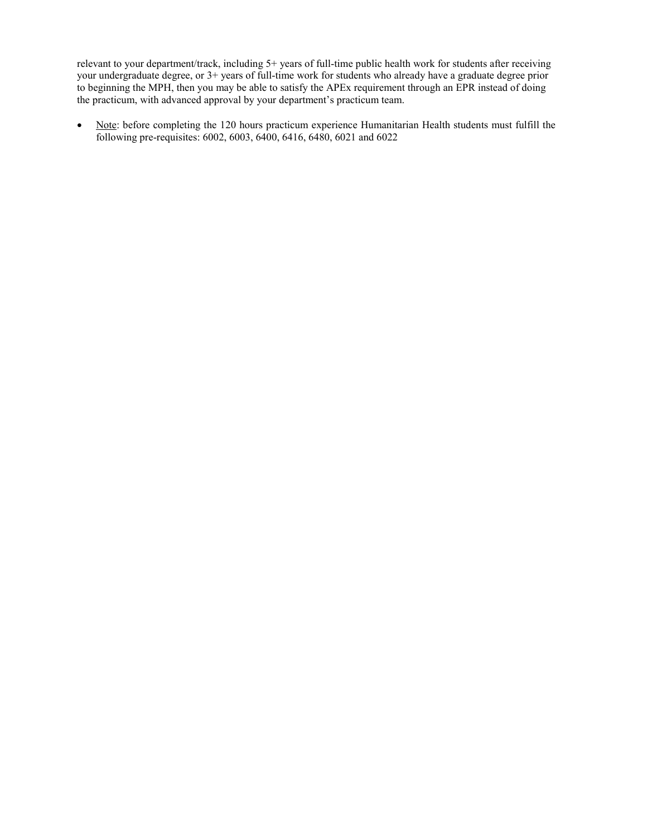relevant to your department/track, including 5+ years of full-time public health work for students after receiving your undergraduate degree, or 3+ years of full-time work for students who already have a graduate degree prior to beginning the MPH, then you may be able to satisfy the APEx requirement through an EPR instead of doing the practicum, with advanced approval by your department's practicum team.

• Note: before completing the 120 hours practicum experience Humanitarian Health students must fulfill the following pre-requisites: 6002, 6003, 6400, 6416, 6480, 6021 and 6022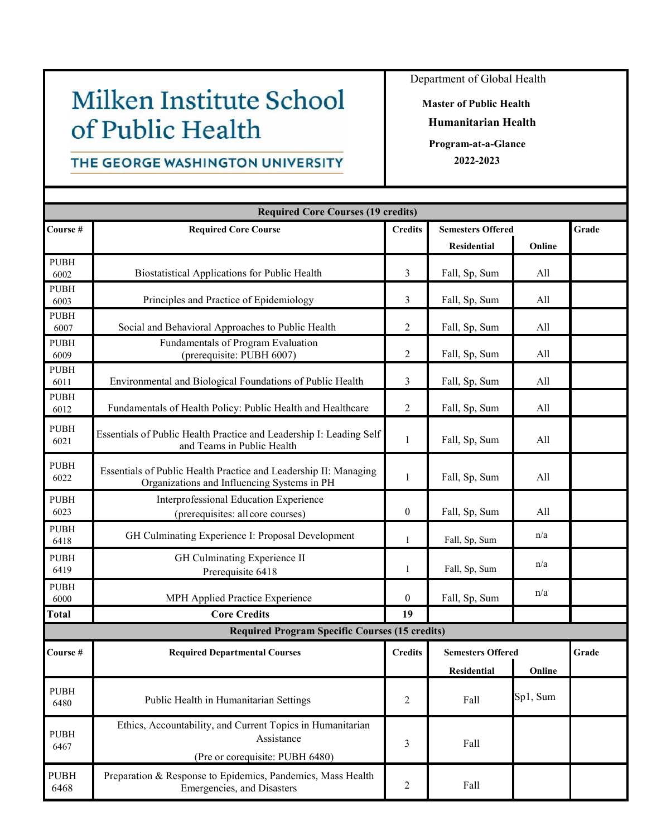# Milken Institute School of Public Health

## THE GEORGE WASHINGTON UNIVERSITY

Department of Global Health

**Master of Public Health Humanitarian Health Program-at-a-Glance**

**2022-2023**

|                     | <b>Required Core Courses (19 credits)</b>                                                                       |                  |                          |          |       |
|---------------------|-----------------------------------------------------------------------------------------------------------------|------------------|--------------------------|----------|-------|
| Course#             | <b>Required Core Course</b>                                                                                     | <b>Credits</b>   | <b>Semesters Offered</b> |          | Grade |
|                     |                                                                                                                 |                  | <b>Residential</b>       | Online   |       |
| <b>PUBH</b><br>6002 | Biostatistical Applications for Public Health                                                                   | 3                | Fall, Sp, Sum            | All      |       |
| <b>PUBH</b>         |                                                                                                                 |                  |                          |          |       |
| 6003                | Principles and Practice of Epidemiology                                                                         | 3                | Fall, Sp, Sum            | All      |       |
| <b>PUBH</b><br>6007 | Social and Behavioral Approaches to Public Health                                                               | $\overline{2}$   | Fall, Sp, Sum            | All      |       |
| <b>PUBH</b><br>6009 | Fundamentals of Program Evaluation<br>(prerequisite: PUBH 6007)                                                 | $\overline{2}$   | Fall, Sp, Sum            | All      |       |
| <b>PUBH</b><br>6011 | Environmental and Biological Foundations of Public Health                                                       | 3                | Fall, Sp, Sum            | All      |       |
| <b>PUBH</b><br>6012 | Fundamentals of Health Policy: Public Health and Healthcare                                                     | $\overline{2}$   | Fall, Sp, Sum            | All      |       |
| <b>PUBH</b><br>6021 | Essentials of Public Health Practice and Leadership I: Leading Self<br>and Teams in Public Health               | $\mathbf{1}$     | Fall, Sp, Sum            | All      |       |
| <b>PUBH</b><br>6022 | Essentials of Public Health Practice and Leadership II: Managing<br>Organizations and Influencing Systems in PH | $\mathbf{1}$     | Fall, Sp, Sum            | All      |       |
| <b>PUBH</b><br>6023 | Interprofessional Education Experience<br>(prerequisites: all core courses)                                     | $\boldsymbol{0}$ | Fall, Sp, Sum            | All      |       |
| <b>PUBH</b><br>6418 | GH Culminating Experience I: Proposal Development                                                               | $\mathbf{1}$     | Fall, Sp, Sum            | n/a      |       |
| <b>PUBH</b><br>6419 | GH Culminating Experience II<br>Prerequisite 6418                                                               | $\mathbf{1}$     | Fall, Sp, Sum            | n/a      |       |
| <b>PUBH</b><br>6000 | MPH Applied Practice Experience                                                                                 | $\overline{0}$   | Fall, Sp, Sum            | n/a      |       |
| <b>Total</b>        | <b>Core Credits</b>                                                                                             | 19               |                          |          |       |
|                     | <b>Required Program Specific Courses (15 credits)</b>                                                           |                  |                          |          |       |
| Course#             | <b>Required Departmental Courses</b>                                                                            | <b>Credits</b>   | <b>Semesters Offered</b> | Grade    |       |
|                     |                                                                                                                 |                  | Residential              | Online   |       |
| <b>PUBH</b><br>6480 | Public Health in Humanitarian Settings                                                                          | $\overline{c}$   | Fall                     | Sp1, Sum |       |
| <b>PUBH</b><br>6467 | Ethics, Accountability, and Current Topics in Humanitarian<br>Assistance<br>(Pre or corequisite: PUBH 6480)     | 3                | Fall                     |          |       |
| <b>PUBH</b><br>6468 | Preparation & Response to Epidemics, Pandemics, Mass Health<br>Emergencies, and Disasters                       |                  | Fall                     |          |       |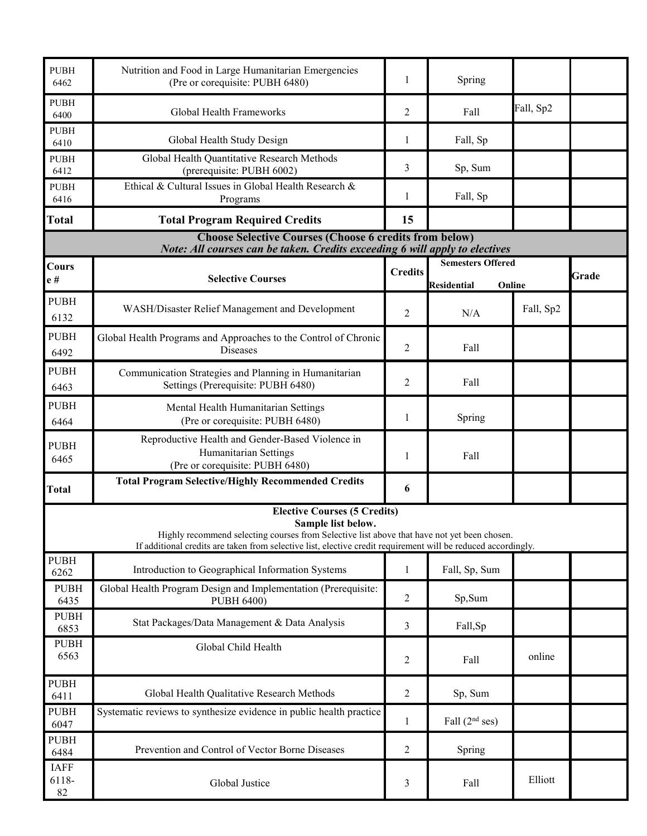| <b>PUBH</b><br>6462        | Nutrition and Food in Large Humanitarian Emergencies<br>(Pre or corequisite: PUBH 6480)                                                                                                                                                                                   | 1              | Spring                                                   |           |       |
|----------------------------|---------------------------------------------------------------------------------------------------------------------------------------------------------------------------------------------------------------------------------------------------------------------------|----------------|----------------------------------------------------------|-----------|-------|
| <b>PUBH</b><br>6400        | Global Health Frameworks                                                                                                                                                                                                                                                  | 2              | Fall                                                     | Fall, Sp2 |       |
| <b>PUBH</b><br>6410        | Global Health Study Design                                                                                                                                                                                                                                                | 1              | Fall, Sp                                                 |           |       |
| <b>PUBH</b><br>6412        | Global Health Quantitative Research Methods<br>(prerequisite: PUBH 6002)                                                                                                                                                                                                  | 3              | Sp, Sum                                                  |           |       |
| <b>PUBH</b><br>6416        | Ethical & Cultural Issues in Global Health Research &<br>Programs                                                                                                                                                                                                         | 1              | Fall, Sp                                                 |           |       |
| <b>Total</b>               | <b>Total Program Required Credits</b>                                                                                                                                                                                                                                     | 15             |                                                          |           |       |
|                            | <b>Choose Selective Courses (Choose 6 credits from below)</b><br>Note: All courses can be taken. Credits exceeding 6 will apply to electives                                                                                                                              |                |                                                          |           |       |
| Cours<br>${\bf e}$ #       | <b>Selective Courses</b>                                                                                                                                                                                                                                                  | <b>Credits</b> | <b>Semesters Offered</b><br><b>Residential</b><br>Online |           | Grade |
| <b>PUBH</b><br>6132        | WASH/Disaster Relief Management and Development                                                                                                                                                                                                                           | 2              | N/A                                                      | Fall, Sp2 |       |
| <b>PUBH</b><br>6492        | Global Health Programs and Approaches to the Control of Chronic<br><b>Diseases</b>                                                                                                                                                                                        | 2              | Fall                                                     |           |       |
| <b>PUBH</b><br>6463        | Communication Strategies and Planning in Humanitarian<br>Settings (Prerequisite: PUBH 6480)                                                                                                                                                                               | 2              | Fall                                                     |           |       |
| <b>PUBH</b><br>6464        | Mental Health Humanitarian Settings<br>(Pre or corequisite: PUBH 6480)                                                                                                                                                                                                    | 1              | Spring                                                   |           |       |
| <b>PUBH</b><br>6465        | Reproductive Health and Gender-Based Violence in<br>Humanitarian Settings<br>(Pre or corequisite: PUBH 6480)                                                                                                                                                              | 1              | Fall                                                     |           |       |
| <b>Total</b>               | <b>Total Program Selective/Highly Recommended Credits</b>                                                                                                                                                                                                                 | 6              |                                                          |           |       |
|                            | <b>Elective Courses (5 Credits)</b><br>Sample list below.<br>Highly recommend selecting courses from Selective list above that have not yet been chosen.<br>If additional credits are taken from selective list, elective credit requirement will be reduced accordingly. |                |                                                          |           |       |
| <b>PUBH</b><br>6262        | Introduction to Geographical Information Systems                                                                                                                                                                                                                          | $\mathbf{1}$   | Fall, Sp, Sum                                            |           |       |
| <b>PUBH</b><br>6435        | Global Health Program Design and Implementation (Prerequisite:<br>PUBH 6400)                                                                                                                                                                                              | $\overline{2}$ | Sp,Sum                                                   |           |       |
| <b>PUBH</b><br>6853        | Stat Packages/Data Management & Data Analysis                                                                                                                                                                                                                             | 3              | Fall,Sp                                                  |           |       |
| <b>PUBH</b><br>6563        | Global Child Health                                                                                                                                                                                                                                                       | 2              | Fall                                                     | online    |       |
| <b>PUBH</b><br>6411        | Global Health Qualitative Research Methods                                                                                                                                                                                                                                | 2              | Sp, Sum                                                  |           |       |
| <b>PUBH</b><br>6047        | Systematic reviews to synthesize evidence in public health practice                                                                                                                                                                                                       | $\mathbf{1}$   | Fall $(2nd$ ses)                                         |           |       |
| <b>PUBH</b><br>6484        | Prevention and Control of Vector Borne Diseases                                                                                                                                                                                                                           | $\overline{2}$ | Spring                                                   |           |       |
| <b>IAFF</b><br>6118-<br>82 | Global Justice                                                                                                                                                                                                                                                            | 3              | Fall                                                     | Elliott   |       |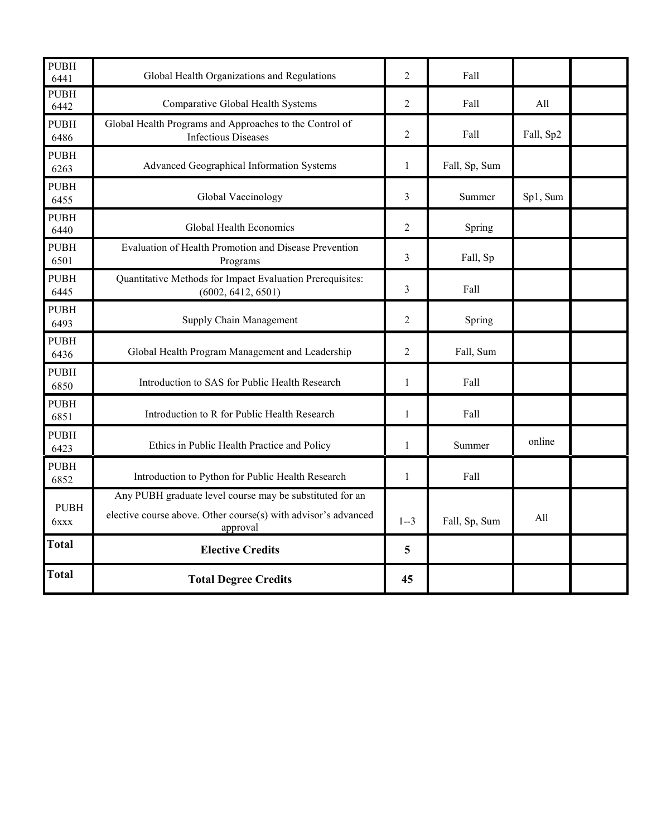| <b>PUBH</b><br>6441 | Global Health Organizations and Regulations                                                                                            | $\overline{2}$ | Fall          |           |  |
|---------------------|----------------------------------------------------------------------------------------------------------------------------------------|----------------|---------------|-----------|--|
| <b>PUBH</b><br>6442 | Comparative Global Health Systems                                                                                                      | $\overline{2}$ | Fall          | All       |  |
| <b>PUBH</b><br>6486 | Global Health Programs and Approaches to the Control of<br><b>Infectious Diseases</b>                                                  | $\overline{2}$ | Fall          | Fall, Sp2 |  |
| <b>PUBH</b><br>6263 | Advanced Geographical Information Systems                                                                                              | $\mathbf{1}$   | Fall, Sp, Sum |           |  |
| <b>PUBH</b><br>6455 | Global Vaccinology                                                                                                                     | 3              | Summer        | Sp1, Sum  |  |
| <b>PUBH</b><br>6440 | Global Health Economics                                                                                                                | $\overline{2}$ | Spring        |           |  |
| <b>PUBH</b><br>6501 | Evaluation of Health Promotion and Disease Prevention<br>Programs                                                                      | 3              | Fall, Sp      |           |  |
| <b>PUBH</b><br>6445 | Quantitative Methods for Impact Evaluation Prerequisites:<br>(6002, 6412, 6501)                                                        | 3              | Fall          |           |  |
| <b>PUBH</b><br>6493 | Supply Chain Management                                                                                                                | $\overline{2}$ | Spring        |           |  |
| <b>PUBH</b><br>6436 | Global Health Program Management and Leadership                                                                                        |                | Fall, Sum     |           |  |
| <b>PUBH</b><br>6850 | Introduction to SAS for Public Health Research                                                                                         |                | Fall          |           |  |
| <b>PUBH</b><br>6851 | Introduction to R for Public Health Research                                                                                           |                | Fall          |           |  |
| <b>PUBH</b><br>6423 | Ethics in Public Health Practice and Policy                                                                                            |                | Summer        | online    |  |
| <b>PUBH</b><br>6852 | Introduction to Python for Public Health Research                                                                                      |                | Fall          |           |  |
| <b>PUBH</b><br>6xxx | Any PUBH graduate level course may be substituted for an<br>elective course above. Other course(s) with advisor's advanced<br>approval |                | Fall, Sp, Sum | All       |  |
| <b>Total</b>        | <b>Elective Credits</b>                                                                                                                | 5              |               |           |  |
| <b>Total</b>        | <b>Total Degree Credits</b>                                                                                                            | 45             |               |           |  |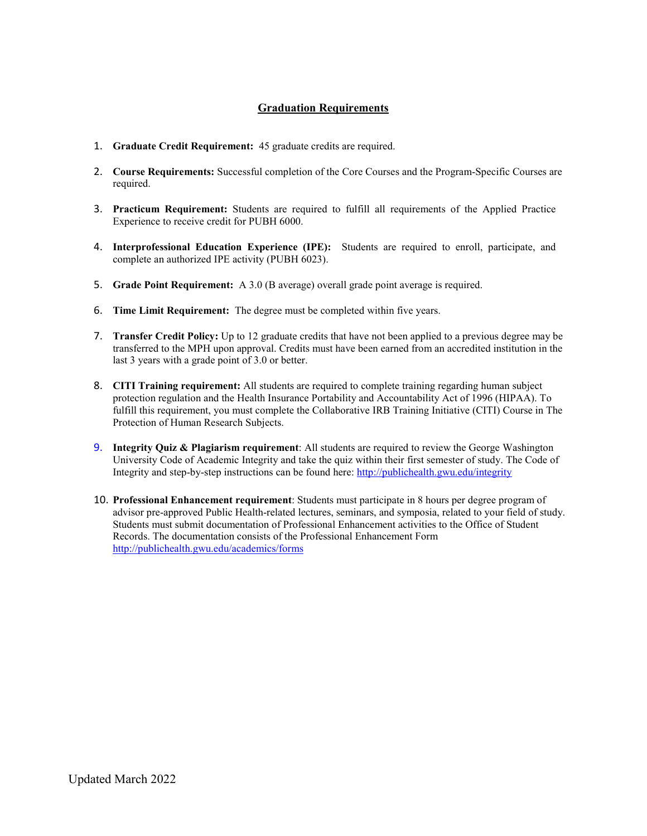#### **Graduation Requirements**

- 1. **Graduate Credit Requirement:** 45 graduate credits are required.
- 2. **Course Requirements:** Successful completion of the Core Courses and the Program-Specific Courses are required.
- 3. **Practicum Requirement:** Students are required to fulfill all requirements of the Applied Practice Experience to receive credit for PUBH 6000.
- 4. **Interprofessional Education Experience (IPE):** Students are required to enroll, participate, and complete an authorized IPE activity (PUBH 6023).
- 5. **Grade Point Requirement:** A 3.0 (B average) overall grade point average is required.
- 6. **Time Limit Requirement:** The degree must be completed within five years.
- 7. **Transfer Credit Policy:** Up to 12 graduate credits that have not been applied to a previous degree may be transferred to the MPH upon approval. Credits must have been earned from an accredited institution in the last 3 years with a grade point of 3.0 or better.
- 8. **CITI Training requirement:** All students are required to complete training regarding human subject protection regulation and the Health Insurance Portability and Accountability Act of 1996 (HIPAA). To fulfill this requirement, you must complete the Collaborative IRB Training Initiative (CITI) Course in The Protection of Human Research Subjects.
- 9. **Integrity Quiz & Plagiarism requirement**: All students are required to review the George Washington University Code of Academic Integrity and take the quiz within their first semester of study. The Code of Integrity and step-by-step instructions can be found here:<http://publichealth.gwu.edu/integrity>
- 10. **Professional Enhancement requirement**: Students must participate in 8 hours per degree program of advisor pre-approved Public Health-related lectures, seminars, and symposia, related to your field of study. Students must submit documentation of Professional Enhancement activities to the Office of Student Records. The documentation consists of the Professional Enhancement Form <http://publichealth.gwu.edu/academics/forms>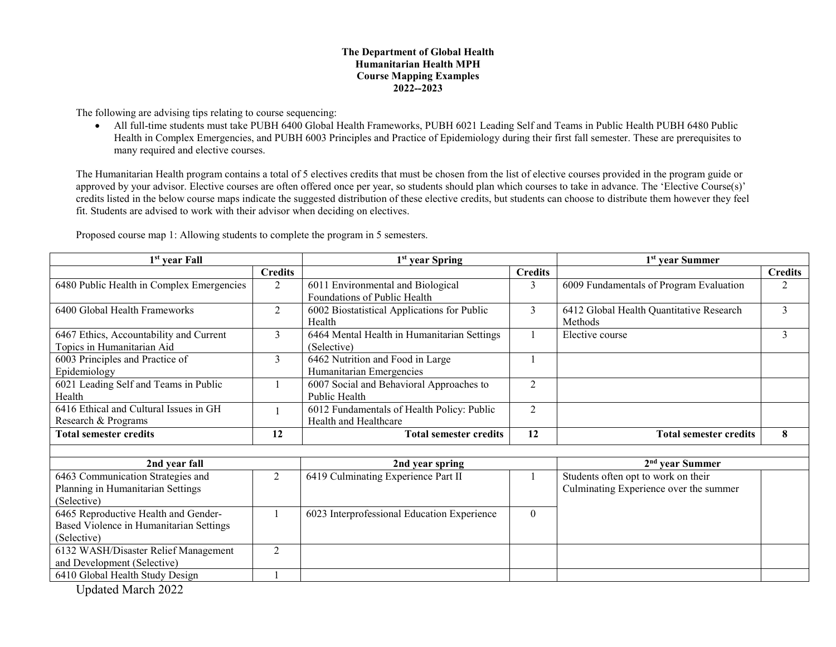#### **The Department of Global Health Humanitarian Health MPH Course Mapping Examples 2022--2023**

The following are advising tips relating to course sequencing:

• All full-time students must take PUBH 6400 Global Health Frameworks, PUBH 6021 Leading Self and Teams in Public Health PUBH 6480 Public Health in Complex Emergencies, and PUBH 6003 Principles and Practice of Epidemiology during their first fall semester. These are prerequisites to many required and elective courses.

The Humanitarian Health program contains a total of 5 electives credits that must be chosen from the list of elective courses provided in the program guide or approved by your advisor. Elective courses are often offered once per year, so students should plan which courses to take in advance. The 'Elective Course(s)' credits listed in the below course maps indicate the suggested distribution of these elective credits, but students can choose to distribute them however they feel fit. Students are advised to work with their advisor when deciding on electives.

| $1st$ year Fall                           |                | 1 <sup>st</sup> year Spring                 |                | 1 <sup>st</sup> year Summer              |                |  |
|-------------------------------------------|----------------|---------------------------------------------|----------------|------------------------------------------|----------------|--|
|                                           | <b>Credits</b> |                                             | <b>Credits</b> |                                          | <b>Credits</b> |  |
| 6480 Public Health in Complex Emergencies | $\overline{2}$ | 6011 Environmental and Biological           | 3              | 6009 Fundamentals of Program Evaluation  | 2              |  |
|                                           |                | Foundations of Public Health                |                |                                          |                |  |
| 6400 Global Health Frameworks             | 2              | 6002 Biostatistical Applications for Public | 3              | 6412 Global Health Quantitative Research | 3              |  |
|                                           |                | Health                                      |                | Methods                                  |                |  |
| 6467 Ethics, Accountability and Current   | 3              | 6464 Mental Health in Humanitarian Settings |                | Elective course                          | 3              |  |
| Topics in Humanitarian Aid                |                | (Selective)                                 |                |                                          |                |  |
| 6003 Principles and Practice of           | $\mathfrak{Z}$ | 6462 Nutrition and Food in Large            |                |                                          |                |  |
| Epidemiology                              |                | Humanitarian Emergencies                    |                |                                          |                |  |
| 6021 Leading Self and Teams in Public     |                | 6007 Social and Behavioral Approaches to    | $\overline{2}$ |                                          |                |  |
| Health                                    |                | Public Health                               |                |                                          |                |  |
| 6416 Ethical and Cultural Issues in GH    |                | 6012 Fundamentals of Health Policy: Public  | $\overline{2}$ |                                          |                |  |
| Research & Programs                       |                | Health and Healthcare                       |                |                                          |                |  |
| <b>Total semester credits</b>             | 12             | <b>Total semester credits</b>               | 12             | <b>Total semester credits</b>            | 8              |  |
|                                           |                |                                             |                |                                          |                |  |
| 2nd year fall                             |                | 2nd year spring                             |                | $2nd$ vear Summer                        |                |  |
| 6463 Communication Strategies and         | $\overline{2}$ | 6419 Culminating Experience Part II         |                | Students often opt to work on their      |                |  |
| Planning in Humanitarian Settings         |                |                                             |                | Culminating Experience over the summer   |                |  |
| (Selective)                               |                |                                             |                |                                          |                |  |
| 6465 Reproductive Health and Gender-      |                | 6023 Interprofessional Education Experience | $\theta$       |                                          |                |  |
| Based Violence in Humanitarian Settings   |                |                                             |                |                                          |                |  |
| (Selective)                               |                |                                             |                |                                          |                |  |
| 6132 WASH/Disaster Relief Management      | $\overline{2}$ |                                             |                |                                          |                |  |
| and Development (Selective)               |                |                                             |                |                                          |                |  |
| 6410 Global Health Study Design           |                |                                             |                |                                          |                |  |

Proposed course map 1: Allowing students to complete the program in 5 semesters.

Updated March 2022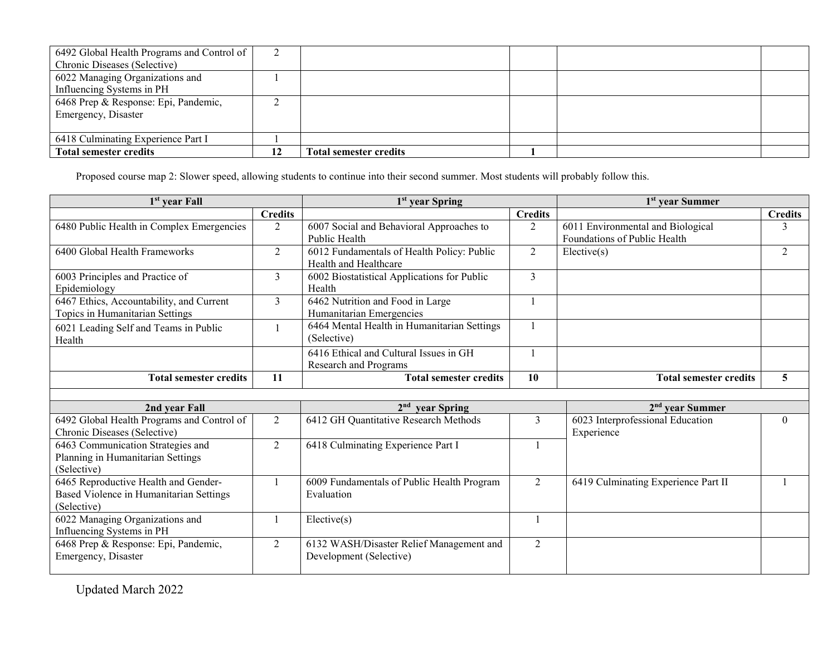| 6492 Global Health Programs and Control of |    |                               |  |  |
|--------------------------------------------|----|-------------------------------|--|--|
| Chronic Diseases (Selective)               |    |                               |  |  |
| 6022 Managing Organizations and            |    |                               |  |  |
| Influencing Systems in PH                  |    |                               |  |  |
| 6468 Prep & Response: Epi, Pandemic,       |    |                               |  |  |
| Emergency, Disaster                        |    |                               |  |  |
|                                            |    |                               |  |  |
| 6418 Culminating Experience Part I         |    |                               |  |  |
| <b>Total semester credits</b>              | 12 | <b>Total semester credits</b> |  |  |

Proposed course map 2: Slower speed, allowing students to continue into their second summer. Most students will probably follow this.

| 1 <sup>st</sup> year Fall                                                                      |                | 1 <sup>st</sup> year Spring                                            |                | 1 <sup>st</sup> year Summer                                       |                |  |
|------------------------------------------------------------------------------------------------|----------------|------------------------------------------------------------------------|----------------|-------------------------------------------------------------------|----------------|--|
|                                                                                                | <b>Credits</b> |                                                                        | <b>Credits</b> |                                                                   | <b>Credits</b> |  |
| 6480 Public Health in Complex Emergencies                                                      | 2              | 6007 Social and Behavioral Approaches to<br>Public Health              | 2              | 6011 Environmental and Biological<br>Foundations of Public Health | 3              |  |
| 6400 Global Health Frameworks                                                                  | $\overline{2}$ | 6012 Fundamentals of Health Policy: Public<br>Health and Healthcare    | 2              | Electric(s)                                                       | $\overline{2}$ |  |
| 6003 Principles and Practice of<br>Epidemiology                                                | 3              | 6002 Biostatistical Applications for Public<br>Health                  | 3              |                                                                   |                |  |
| 6467 Ethics, Accountability, and Current<br>Topics in Humanitarian Settings                    | 3              | 6462 Nutrition and Food in Large<br>Humanitarian Emergencies           |                |                                                                   |                |  |
| 6021 Leading Self and Teams in Public<br>Health                                                |                | 6464 Mental Health in Humanitarian Settings<br>(Selective)             | $\mathbf{1}$   |                                                                   |                |  |
|                                                                                                |                | 6416 Ethical and Cultural Issues in GH<br><b>Research and Programs</b> |                |                                                                   |                |  |
| <b>Total semester credits</b>                                                                  | 11             | <b>Total semester credits</b>                                          | 10             | <b>Total semester credits</b>                                     | 5              |  |
|                                                                                                |                |                                                                        |                |                                                                   |                |  |
| 2nd year Fall                                                                                  |                | 2 <sup>nd</sup><br>year Spring                                         |                | 2 <sup>nd</sup> vear Summer                                       |                |  |
| 6492 Global Health Programs and Control of<br>Chronic Diseases (Selective)                     | $\overline{2}$ | 6412 GH Quantitative Research Methods                                  | 3              | 6023 Interprofessional Education<br>Experience                    | $\theta$       |  |
| 6463 Communication Strategies and<br>Planning in Humanitarian Settings<br>(Selective)          | 2              | 6418 Culminating Experience Part I                                     |                |                                                                   |                |  |
| 6465 Reproductive Health and Gender-<br>Based Violence in Humanitarian Settings<br>(Selective) |                | 6009 Fundamentals of Public Health Program<br>Evaluation               | $\overline{2}$ | 6419 Culminating Experience Part II                               |                |  |
| 6022 Managing Organizations and<br>Influencing Systems in PH                                   |                | Elective(s)                                                            |                |                                                                   |                |  |
| 6468 Prep & Response: Epi, Pandemic,<br>Emergency, Disaster                                    | $\overline{2}$ | 6132 WASH/Disaster Relief Management and<br>Development (Selective)    | $\overline{2}$ |                                                                   |                |  |

Updated March 2022